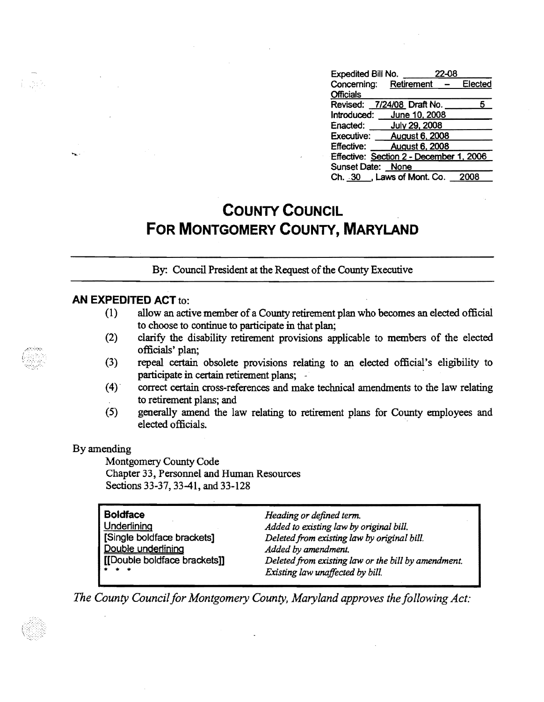| Expedited Bill No. |                   |                                                                                                                                                                                                                                          |
|--------------------|-------------------|------------------------------------------------------------------------------------------------------------------------------------------------------------------------------------------------------------------------------------------|
|                    |                   | Elected                                                                                                                                                                                                                                  |
|                    |                   |                                                                                                                                                                                                                                          |
|                    |                   | 5                                                                                                                                                                                                                                        |
|                    |                   |                                                                                                                                                                                                                                          |
|                    |                   |                                                                                                                                                                                                                                          |
|                    |                   |                                                                                                                                                                                                                                          |
|                    |                   |                                                                                                                                                                                                                                          |
|                    |                   |                                                                                                                                                                                                                                          |
|                    |                   |                                                                                                                                                                                                                                          |
|                    |                   | 2008                                                                                                                                                                                                                                     |
|                    | Sunset Date: None | 22-08<br>Concerning: Retirement -<br>Revised: 7/24/08 Draft No.<br>Introduced: June 10, 2008<br>July 29, 2008<br><b>August 6, 2008</b><br><b>August 6, 2008</b><br>Effective: Section 2 - December 1, 2006<br>Ch. 30 , Laws of Mont. Co. |

# **COUNTY COUNCIL FOR MONTGOMERY COUNTY, MARYLAND**

By: Council President at the Request of the County Executive

#### **AN EXPEDITED ACT** to:

- (1) allow an active member of a County retirement plan who becomes an elected official to choose to continue to participate in that plan;
- officials' plan;
- (2) clarify the disability retirement provisions applicable to members of the elected officials' plan;<br>
(3) repeal certain obsolete provisions relating to an elected official's eligibility to participate in certain retirem (3) repeal certain obsolete provisions relating to an elected official's eligibility to
- (4)' correct certain cross-references and make technical amendments to the law relating to retirement plans; and
- (5) generally amend the law relating to retirement plans for County employees and elected officials.

#### By amending

Montgomery County Code Chapter 33, Personnel and Human Resources Sections 33-37, 33-41, and 33-128

| <b>Boldface</b>              | Heading or defined term.                            |
|------------------------------|-----------------------------------------------------|
| <b>Underlining</b>           | Added to existing law by original bill.             |
| [Single boldface brackets]   | Deleted from existing law by original bill.         |
| Double underlining           | Added by amendment.                                 |
| [[Double boldface brackets]] | Deleted from existing law or the bill by amendment. |
| $+ + +$                      | Existing law unaffected by bill.                    |

*The County Council for Montgomery County, Maryland approves the following Act:* 



i sta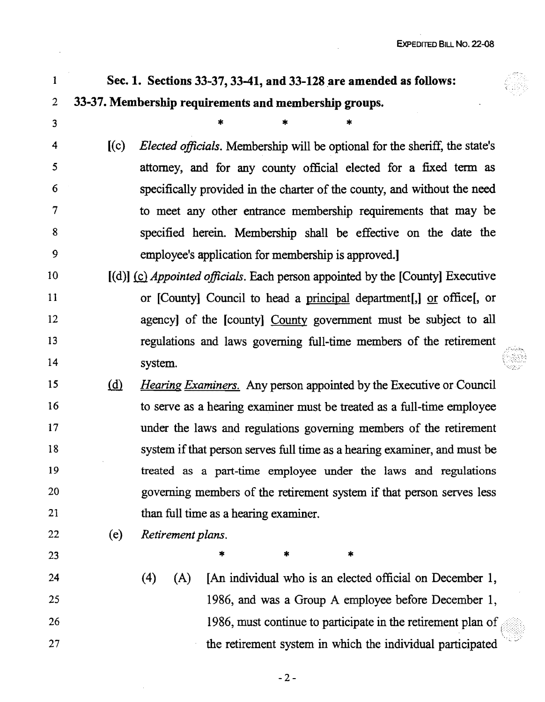$\mathcal{L}_{\text{eff}}$ 

| 1              |     | Sec. 1. Sections 33-37, 33-41, and 33-128 are amended as follows:                        |  |
|----------------|-----|------------------------------------------------------------------------------------------|--|
| $\overline{2}$ |     | 33-37. Membership requirements and membership groups.                                    |  |
| 3              |     |                                                                                          |  |
| 4              | (c) | Elected officials. Membership will be optional for the sheriff, the state's              |  |
| 5              |     | attorney, and for any county official elected for a fixed term as                        |  |
| 6              |     | specifically provided in the charter of the county, and without the need                 |  |
| 7              |     | to meet any other entrance membership requirements that may be                           |  |
| 8              |     | specified herein. Membership shall be effective on the date the                          |  |
| 9              |     | employee's application for membership is approved.                                       |  |
| 10             |     | $[(d)]$ (c) <i>Appointed officials</i> . Each person appointed by the [County] Executive |  |
| 11             |     | or [County] Council to head a principal department[,] or office[, or                     |  |
| 12             |     | agency] of the [county] County government must be subject to all                         |  |
| 13             |     | regulations and laws governing full-time members of the retirement                       |  |
| 14             |     | system.                                                                                  |  |
| 15             | (d) | Hearing Examiners. Any person appointed by the Executive or Council                      |  |
| 16             |     | to serve as a hearing examiner must be treated as a full-time employee                   |  |
| 17             |     | under the laws and regulations governing members of the retirement                       |  |
| 18             |     | system if that person serves full time as a hearing examiner, and must be                |  |
| 19             |     | treated as a part-time employee under the laws and regulations                           |  |
| 20             |     | governing members of the retirement system if that person serves less                    |  |
| 21             |     | than full time as a hearing examiner.                                                    |  |
| 22             | (e) | Retirement plans.                                                                        |  |
| 23             |     | *<br>*<br>*                                                                              |  |
| 24             |     | (4)<br>[An individual who is an elected official on December 1,<br>(A)                   |  |
| 25             |     | 1986, and was a Group A employee before December 1,                                      |  |
| 26             |     | 1986, must continue to participate in the retirement plan of                             |  |
| 27             |     | the retirement system in which the individual participated                               |  |

 $\bar{z}$ 

 $\sim 10$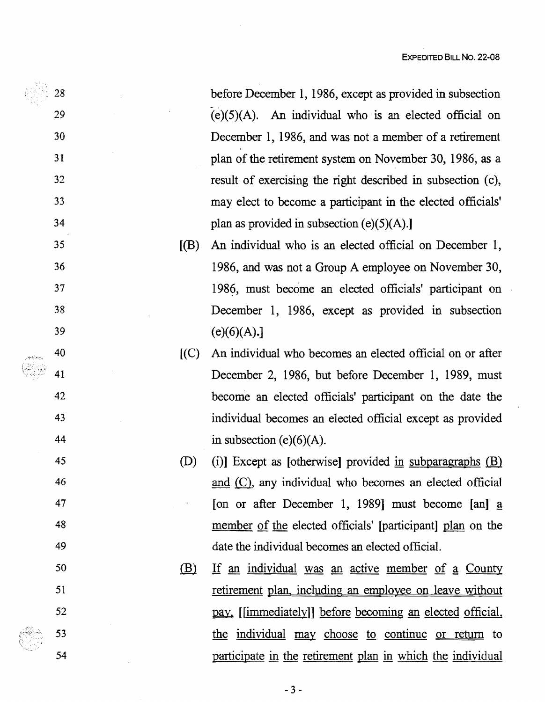. 28 before December 1, 1986, except as provided in subsection 29 (e)(5)(A). An individual who is an elected official on 30 December 1, 1986, and was not a member of a retirement 31 plan of the retirement system on November 30, 1986, as a 32 result of exercising the right described in subsection (c), 33 may elect to become a participant in the elected officials'  $34$  plan as provided in subsection (e)(5)(A).] 35 [(B) An individual who is an elected official on December 1, 36 1986, and was not a Group A employee on November 30, 37 1986, must become an elected officials' participant on 38 December 1, 1986, except as provided in subsection 39 (e)(6)(A).] 40 [(C) An individual who becomes an elected official on or after 41 December 2, 1986, but before December 1, 1989, must 42 become an elected officials' participant on the date the 43 individual becomes an elected official except as provided 44 in subsection (e)(6)(A). 45 (D) (i)] Except as [otherwise] provided in subparagraphs (B) 46 **and**  $(C)$ , any individual who becomes an elected official 47 *for or after December 1, 1989* must become **[an] a** 48 member of the elected officials' [participant] plan on the 49 date the individual becomes an elected official. 50 **(B)** If an individual was an active member of a County 51 retirement plan. including an employee on leave without 52 **https://web/2013.** [[immediately]] before becoming an elected official, 53 the individual may choose to continue or return to 54 participate in the retirement plan in which the individual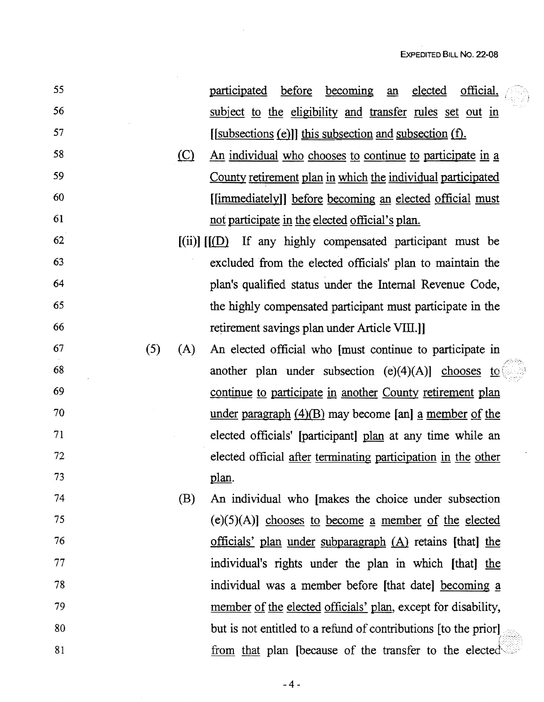| 55 |     |         | official,<br><i>participated</i><br><u>before</u><br>elected<br>becoming<br>an    |
|----|-----|---------|-----------------------------------------------------------------------------------|
| 56 |     |         | subject to the eligibility and transfer rules set out in                          |
| 57 |     |         | $[$ [subsections $(e)$ ]] this subsection and subsection $(f)$ .                  |
| 58 |     | $\circ$ | An individual who chooses to continue to participate in a                         |
| 59 |     |         | <u>County retirement plan in which the individual participated</u>                |
| 60 |     |         | [[immediately]] before becoming an elected official must                          |
| 61 |     |         | not participate in the elected official's plan.                                   |
| 62 |     |         | $[(ii)]$ $[(11)]$ If any highly compensated participant must be                   |
| 63 |     |         | excluded from the elected officials' plan to maintain the                         |
| 64 |     |         | plan's qualified status under the Internal Revenue Code,                          |
| 65 |     |         | the highly compensated participant must participate in the                        |
| 66 |     |         | retirement savings plan under Article VIII.]                                      |
| 67 | (5) | (A)     | An elected official who [must continue to participate in                          |
| 68 |     |         | another plan under subsection $(e)(4)(A)$ ] chooses to                            |
| 69 |     |         | continue to participate in another County retirement plan                         |
| 70 |     |         | <u>under paragraph <math>(4)(B)</math></u> may become [an] <u>a member of the</u> |
| 71 |     |         | elected officials' [participant] plan at any time while an                        |
| 72 |     |         | elected official after terminating participation in the other                     |
| 73 |     |         | plan.                                                                             |
| 74 |     | (B)     | An individual who [makes the choice under subsection                              |
| 75 |     |         | $(e)(5)(A)$ ] chooses to become a member of the elected                           |
| 76 |     |         | officials' plan under subparagraph (A) retains [that] the                         |
| 77 |     |         | individual's rights under the plan in which [that] the                            |
| 78 |     |         | individual was a member before [that date] becoming a                             |
| 79 |     |         | member of the elected officials' plan, except for disability,                     |
| 80 |     |         | but is not entitled to a refund of contributions [to the prior].                  |
| 81 |     |         | from that plan [because of the transfer to the elected                            |
|    |     |         |                                                                                   |

 $\sim$ 

 $\sim 10^7$ 

 $-4-$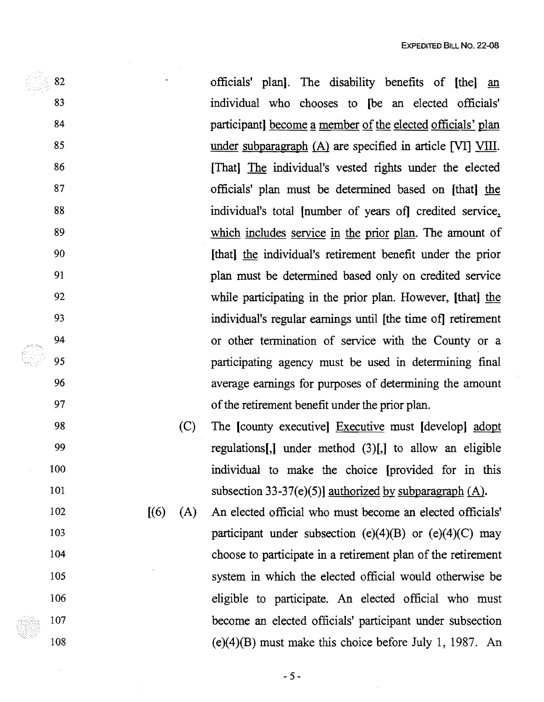82 officials' plan. The disability benefits of [the] an 83 individual who chooses to [be an elected officials' 84 **participant** become a member of the elected officials' plan 85 under subparagraph (A) are specified in article [VI] VIII. 86 [That] The individual's vested rights under the elected 87 officials' plan must be determined based on [that] the 88 individual's total [number of years of] credited service, 89 which includes service in the prior plan. The amount of 90 [that] the individual's retirement benefit under the prior 91 plan must be determined based only on credited service 92 while participating in the prior plan. However, [that] the 93 individual's regular earnings until [the time of] retirement 94 or other termination of service with the County or a 95 participating agency must be used in determining final 96 average earnings for purposes of determining the amount 97 ofthe retirement benefit under the prior plan.

98 (C) The [county executive] Executive must [develop] adopt 99 regulations[,1 under method (3)[,] to allow an eligible 100 individual to make the choice [provided for in this 101 subsection  $33-37(e)(5)$ ] authorized by subparagraph (A).

102 [(6) (A) An elected official who must become an elected officials' 103 **participant** under subsection (e)(4)(B) or (e)(4)(C) may 104 choose to participate in a retirement plan of the retirement 105 system in which the elected official would otherwise be 106 eligible to participate. An elected official who must 107 become an elected officials' participant under subsection 108 (e)(4)(B) must make this choice before July 1, 1987. An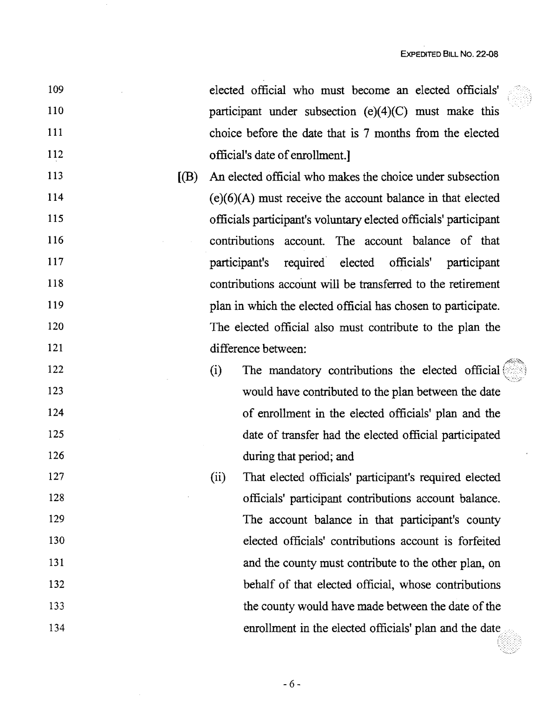109 elected official who must become an elected officials' 110 **participant** under subsection (e)(4)(C) must make this 111 choice before the date that is 7 months from the elected 112 official's date of enrollment. 113 [(B) An elected official who makes the choice under subsection 114 (e)(6)(A) must receive the account balance in that elected 115 officials participant's voluntary elected officials' participant 116 contributions account. The account balance of that 117 participant's required elected officials' participant 118 contributions account will be transferred to the retirement 119 **plan in which the elected official has chosen to participate.** 120 The elected official also must contribute to the plan the 121 difference between: 122 (i) The mandatory contributions the elected official 123 would have contributed to the plan between the date 124 of enrollment in the elected officials' plan and the 125 date of transfer had the elected official participated 126 during that period; and 127 (ii) That elected officials' participant's required elected 128 officials' participant contributions account balance. 129 The account balance in that participant's county 130 elected officials' contributions account is forfeited 131 and the county must contribute to the other plan, on 132 behalf of that elected official, whose contributions 133 the county would have made between the date of the 134 enrollment in the elected officials' plan and the date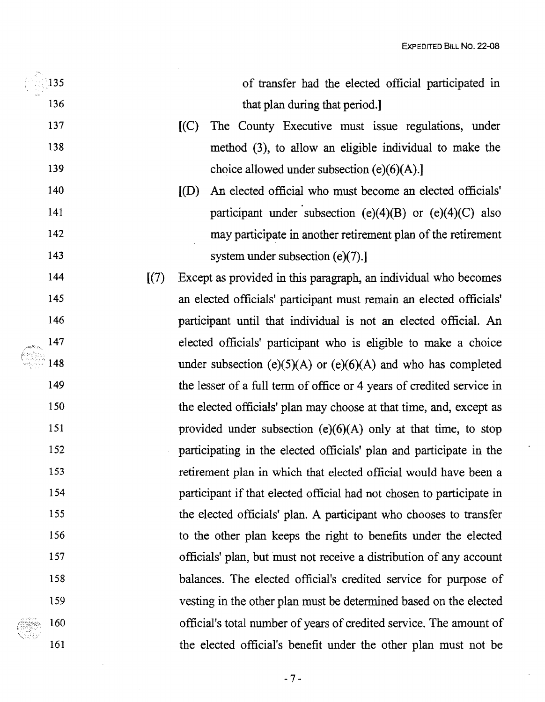$\sigma$ 

 $\hat{\boldsymbol{\epsilon}}$ 

| 135 |       | of transfer had the elected official participated in                                                                                  |  |  |  |  |
|-----|-------|---------------------------------------------------------------------------------------------------------------------------------------|--|--|--|--|
| 136 |       | that plan during that period.]                                                                                                        |  |  |  |  |
| 137 |       | The County Executive must issue regulations, under<br>(C)                                                                             |  |  |  |  |
| 138 |       | method (3), to allow an eligible individual to make the                                                                               |  |  |  |  |
| 139 |       | choice allowed under subsection $(e)(6)(A)$ .]                                                                                        |  |  |  |  |
| 140 |       | An elected official who must become an elected officials'<br>$[$ (D) $]$                                                              |  |  |  |  |
| 141 |       | participant under subsection (e)(4)(B) or (e)(4)(C) also                                                                              |  |  |  |  |
| 142 |       | may participate in another retirement plan of the retirement                                                                          |  |  |  |  |
| 143 |       | system under subsection $(e)(7)$ .]                                                                                                   |  |  |  |  |
| 144 | [(7)] | Except as provided in this paragraph, an individual who becomes                                                                       |  |  |  |  |
| 145 |       | an elected officials' participant must remain an elected officials'                                                                   |  |  |  |  |
| 146 |       | participant until that individual is not an elected official. An                                                                      |  |  |  |  |
| 147 |       | elected officials' participant who is eligible to make a choice                                                                       |  |  |  |  |
| 148 |       | under subsection (e)(5)(A) or (e)(6)(A) and who has completed                                                                         |  |  |  |  |
| 149 |       | the lesser of a full term of office or 4 years of credited service in                                                                 |  |  |  |  |
| 150 |       | the elected officials' plan may choose at that time, and, except as                                                                   |  |  |  |  |
| 151 |       | provided under subsection $(e)(6)(A)$ only at that time, to stop                                                                      |  |  |  |  |
| 152 |       | participating in the elected officials' plan and participate in the                                                                   |  |  |  |  |
| 153 |       | retirement plan in which that elected official would have been a                                                                      |  |  |  |  |
| 154 |       | participant if that elected official had not chosen to participate in                                                                 |  |  |  |  |
| 155 |       | the elected officials' plan. A participant who chooses to transfer<br>to the other plan keeps the right to benefits under the elected |  |  |  |  |
| 156 |       |                                                                                                                                       |  |  |  |  |
| 157 |       | officials' plan, but must not receive a distribution of any account                                                                   |  |  |  |  |
| 158 |       | balances. The elected official's credited service for purpose of                                                                      |  |  |  |  |
| 159 |       | vesting in the other plan must be determined based on the elected                                                                     |  |  |  |  |
| 160 |       | official's total number of years of credited service. The amount of                                                                   |  |  |  |  |
| 161 |       | the elected official's benefit under the other plan must not be                                                                       |  |  |  |  |
|     |       |                                                                                                                                       |  |  |  |  |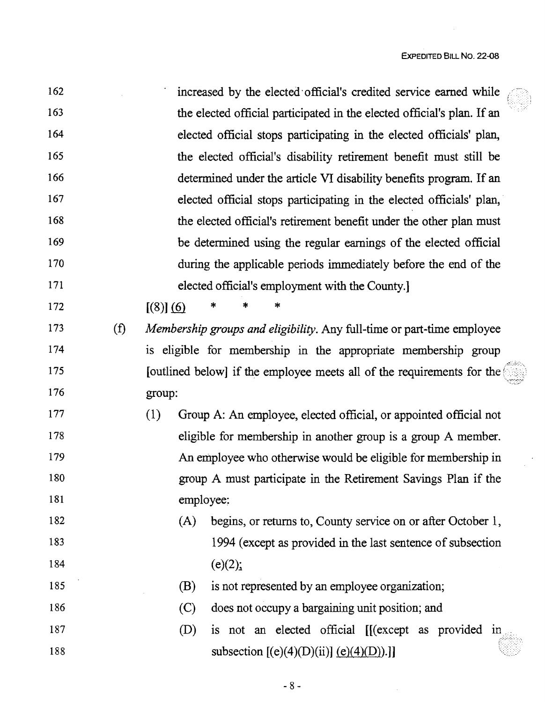$\hat{\mathcal{A}}$  $\bar{z}$ 

| 162 |     | increased by the elected official's credited service earned while        |  |  |  |  |  |
|-----|-----|--------------------------------------------------------------------------|--|--|--|--|--|
| 163 |     | the elected official participated in the elected official's plan. If an  |  |  |  |  |  |
| 164 |     | elected official stops participating in the elected officials' plan,     |  |  |  |  |  |
| 165 |     | the elected official's disability retirement benefit must still be       |  |  |  |  |  |
| 166 |     | determined under the article VI disability benefits program. If an       |  |  |  |  |  |
| 167 |     | elected official stops participating in the elected officials' plan,     |  |  |  |  |  |
| 168 |     | the elected official's retirement benefit under the other plan must      |  |  |  |  |  |
| 169 |     | be determined using the regular earnings of the elected official         |  |  |  |  |  |
| 170 |     | during the applicable periods immediately before the end of the          |  |  |  |  |  |
| 171 |     | elected official's employment with the County.]                          |  |  |  |  |  |
| 172 |     | [(8)] (6)<br>*<br>∗                                                      |  |  |  |  |  |
| 173 | (f) | Membership groups and eligibility. Any full-time or part-time employee   |  |  |  |  |  |
| 174 |     | is eligible for membership in the appropriate membership group           |  |  |  |  |  |
| 175 |     | [outlined below] if the employee meets all of the requirements for the   |  |  |  |  |  |
| 176 |     | group:                                                                   |  |  |  |  |  |
| 177 |     | (1)<br>Group A: An employee, elected official, or appointed official not |  |  |  |  |  |
| 178 |     | eligible for membership in another group is a group A member.            |  |  |  |  |  |
| 179 |     | An employee who otherwise would be eligible for membership in            |  |  |  |  |  |
| 180 |     | group A must participate in the Retirement Savings Plan if the           |  |  |  |  |  |
| 181 |     | employee:                                                                |  |  |  |  |  |
| 182 |     | begins, or returns to, County service on or after October 1,<br>(A)      |  |  |  |  |  |
| 183 |     | 1994 (except as provided in the last sentence of subsection              |  |  |  |  |  |
| 184 |     | $(e)(2)$ ;                                                               |  |  |  |  |  |
| 185 |     | is not represented by an employee organization;<br>(B)                   |  |  |  |  |  |
| 186 |     | does not occupy a bargaining unit position; and<br>(C)                   |  |  |  |  |  |
| 187 |     | is not an elected official [[(except as provided in<br>(D)               |  |  |  |  |  |
| 188 |     | subsection [(e)(4)(D)(ii)] $(e)(4)(D)$ .]]                               |  |  |  |  |  |

 $\sim 10^7$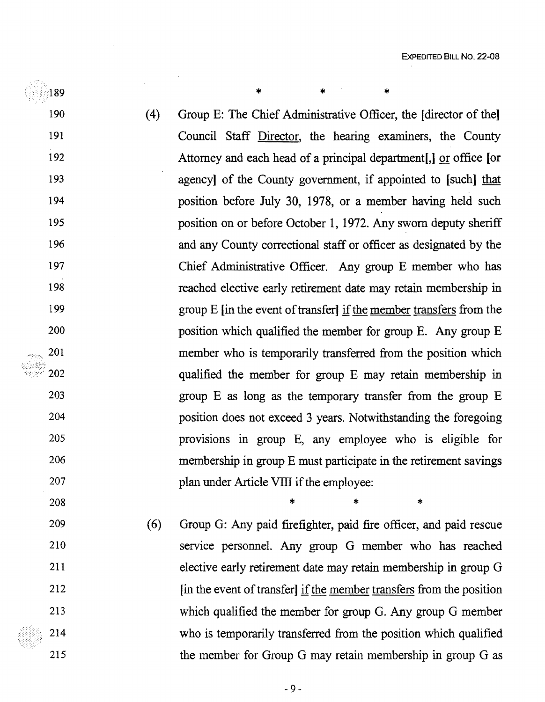·· .. ·::::189 \* \* \* 190 (4) Group E: The Chief Administrative Officer, the [director of the] 191 Council Staff Director, the hearing examiners, the County 192 Attorney and each head of a principal department<sup>[1]</sup>, <u>or</u> office [or 193 agency] of the County government, if appointed to [such] that 194 position before July 30, 1978, or a member having held such 195 position on or before October 1, 1972. Any sworn deputy sheriff 196 and any County correctional staff or officer as designated by the 197 Chief Administrative Officer. Any group E member who has 198 reached elective early retirement date may retain membership in 199 group E [in the event of transfer] if the member transfers from the 200 position which qualified the member for group E. Any group E 201 member who is temporarily transferred from the position which  $\sim$ 202 qualified the member for group E may retain membership in 203 group E as long as the temporary transfer from the group E 204 position does not exceed 3 years. Notwithstanding the foregoing 205 provisions in group E, any employee who is eligible for 206 membership in group E must participate in the retirement savings 207 **plan under Article VIII if the employee:**  $208$  \* \* \* \*

209 (6) Group G: Any paid firefighter, paid fire officer, and paid rescue 210 service personnel. Any group G member who has reached 211 elective early retirement date may retain membership in group G 212 [in the event of transfer] if the member transfers from the position 213 which qualified the member for group G. Any group G member 214 who is temporarily transferred from the position which qualified 215 the member for Group G may retain membership in group G as

 $-9-$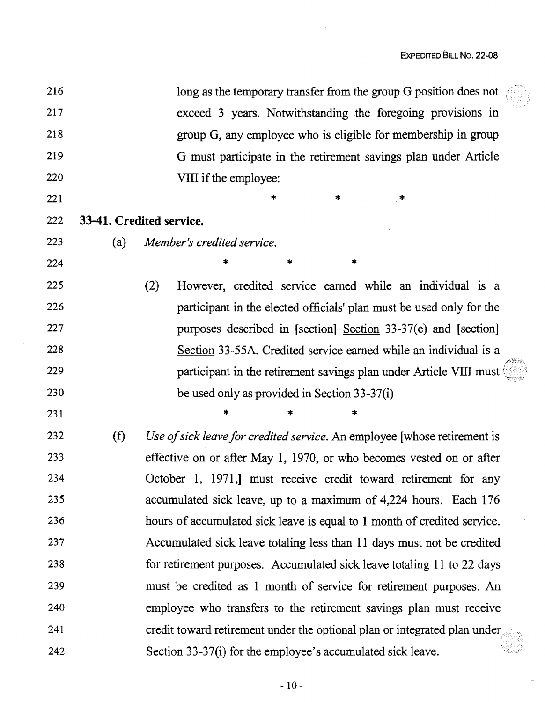$\hat{\mathcal{S}}$  is

| 216 |     | long as the temporary transfer from the group G position does not         |
|-----|-----|---------------------------------------------------------------------------|
| 217 |     | exceed 3 years. Notwithstanding the foregoing provisions in               |
| 218 |     | group G, any employee who is eligible for membership in group             |
| 219 |     | G must participate in the retirement savings plan under Article           |
| 220 |     | VIII if the employee:                                                     |
| 221 |     | *<br>×<br>*                                                               |
| 222 |     | 33-41. Credited service.                                                  |
| 223 | (a) | Member's credited service.                                                |
| 224 |     | ∗<br>*                                                                    |
| 225 |     | (2)<br>However, credited service earned while an individual is a          |
| 226 |     | participant in the elected officials' plan must be used only for the      |
| 227 |     | purposes described in [section] Section 33-37(e) and [section]            |
| 228 |     | Section 33-55A. Credited service earned while an individual is a          |
| 229 |     | participant in the retirement savings plan under Article VIII must        |
| 230 |     | be used only as provided in Section 33-37(i)                              |
| 231 |     | *<br>*<br>*                                                               |
| 232 | (f) | Use of sick leave for credited service. An employee [whose retirement is  |
| 233 |     | effective on or after May 1, 1970, or who becomes vested on or after      |
| 234 |     | October 1, 1971, must receive credit toward retirement for any            |
| 235 |     | accumulated sick leave, up to a maximum of 4,224 hours. Each 176          |
| 236 |     | hours of accumulated sick leave is equal to 1 month of credited service.  |
| 237 |     | Accumulated sick leave totaling less than 11 days must not be credited    |
| 238 |     | for retirement purposes. Accumulated sick leave totaling 11 to 22 days    |
| 239 |     | must be credited as 1 month of service for retirement purposes. An        |
| 240 |     | employee who transfers to the retirement savings plan must receive        |
| 241 |     | credit toward retirement under the optional plan or integrated plan under |
| 242 |     | Section 33-37(i) for the employee's accumulated sick leave.               |

 $\sim$   $\sim$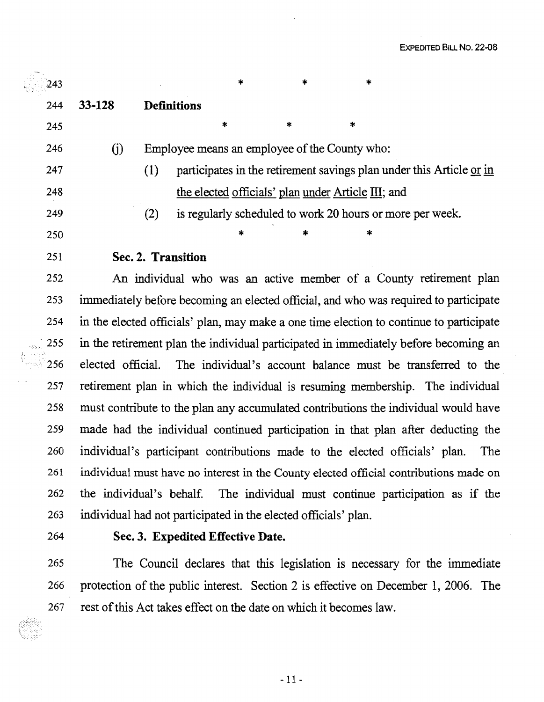| 243 |            |                                               |                    | $\ast$ | $\ast$ | $\star$                                                   |                                                                      |
|-----|------------|-----------------------------------------------|--------------------|--------|--------|-----------------------------------------------------------|----------------------------------------------------------------------|
| 244 | $33 - 128$ |                                               | <b>Definitions</b> |        |        |                                                           |                                                                      |
| 245 |            |                                               | *                  |        | *      | *                                                         |                                                                      |
| 246 | (j)        | Employee means an employee of the County who: |                    |        |        |                                                           |                                                                      |
| 247 |            | (1)                                           |                    |        |        |                                                           | participates in the retirement savings plan under this Article or in |
| 248 |            |                                               |                    |        |        | the elected officials' plan under Article III; and        |                                                                      |
| 249 |            | (2)                                           |                    |        |        | is regularly scheduled to work 20 hours or more per week. |                                                                      |
| 250 |            |                                               |                    | *      |        | *                                                         |                                                                      |

251 Sec. 2. Transition

252 An individual who was an active member of a County retirement plan 253 immediately before becoming an elected official, and who was required to participate 254 in the elected officials' plan, may make a one time election to continue to participate . 255 in the retirement plan the individual participated in immediately before becoming an 256 elected official. The individual's account balance must be transferred to the 257 retirement plan in which the individual is resuming membership. The individual 258 must contribute to the plan any accumulated contributions the individual would have 259 made had the individual continued participation in that plan after deducting the 260 individual's participant contributions made to the elected officials' plan. The 261 individual must have no interest in the County elected official contributions made on 262 the individual's behalf. The individual must continue participation as if the 263 individual had not participated in the elected officials' plan.

### 264 Sec. 3. Expedited Effective Date.

265 The Council declares that this legislation is necessary for the immediate 266 protection of the public interest. Section 2 is effective on December 1, 2006. The 267 rest ofthis Act takes effect on the date on which it becomes law.